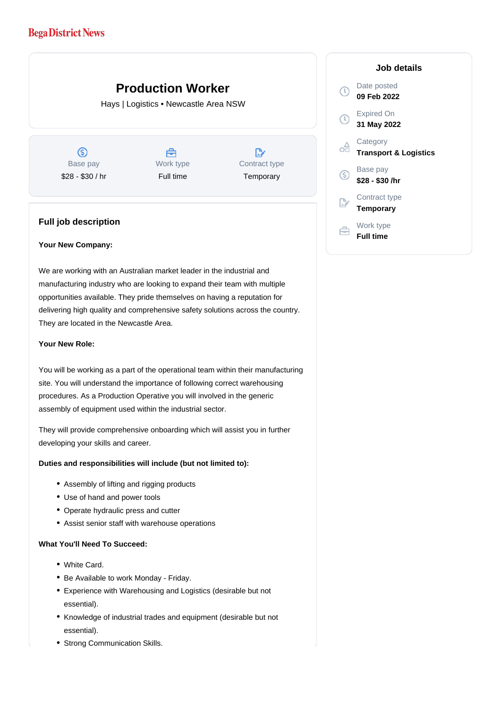# **Bega District News**

# **Production Worker**

Hays | Logistics • Newcastle Area NSW

 $\circledS$ Base pay \$28 - \$30 / hr

Å Work type Full time

 $\mathbb{R}$ Contract type **Temporary** 

### **Full job description**

#### **Your New Company:**

We are working with an Australian market leader in the industrial and manufacturing industry who are looking to expand their team with multiple opportunities available. They pride themselves on having a reputation for delivering high quality and comprehensive safety solutions across the country. They are located in the Newcastle Area.

#### **Your New Role:**

You will be working as a part of the operational team within their manufacturing site. You will understand the importance of following correct warehousing procedures. As a Production Operative you will involved in the generic assembly of equipment used within the industrial sector.

They will provide comprehensive onboarding which will assist you in further developing your skills and career.

#### **Duties and responsibilities will include (but not limited to):**

- Assembly of lifting and rigging products
- Use of hand and power tools
- Operate hydraulic press and cutter
- Assist senior staff with warehouse operations

#### **What You'll Need To Succeed:**

- White Card.
- Be Available to work Monday Friday.
- Experience with Warehousing and Logistics (desirable but not essential).
- Knowledge of industrial trades and equipment (desirable but not essential).
- Strong Communication Skills.

## **Job details** Date posted  $\mathbb{C}$ **09 Feb 2022** Expired On  $\circ$ **31 May 2022 Category** œ **Transport & Logistics** Base pay **\$28 - \$30 /hr** Contract type **Temporary** Work type 自 **Full time**

G)